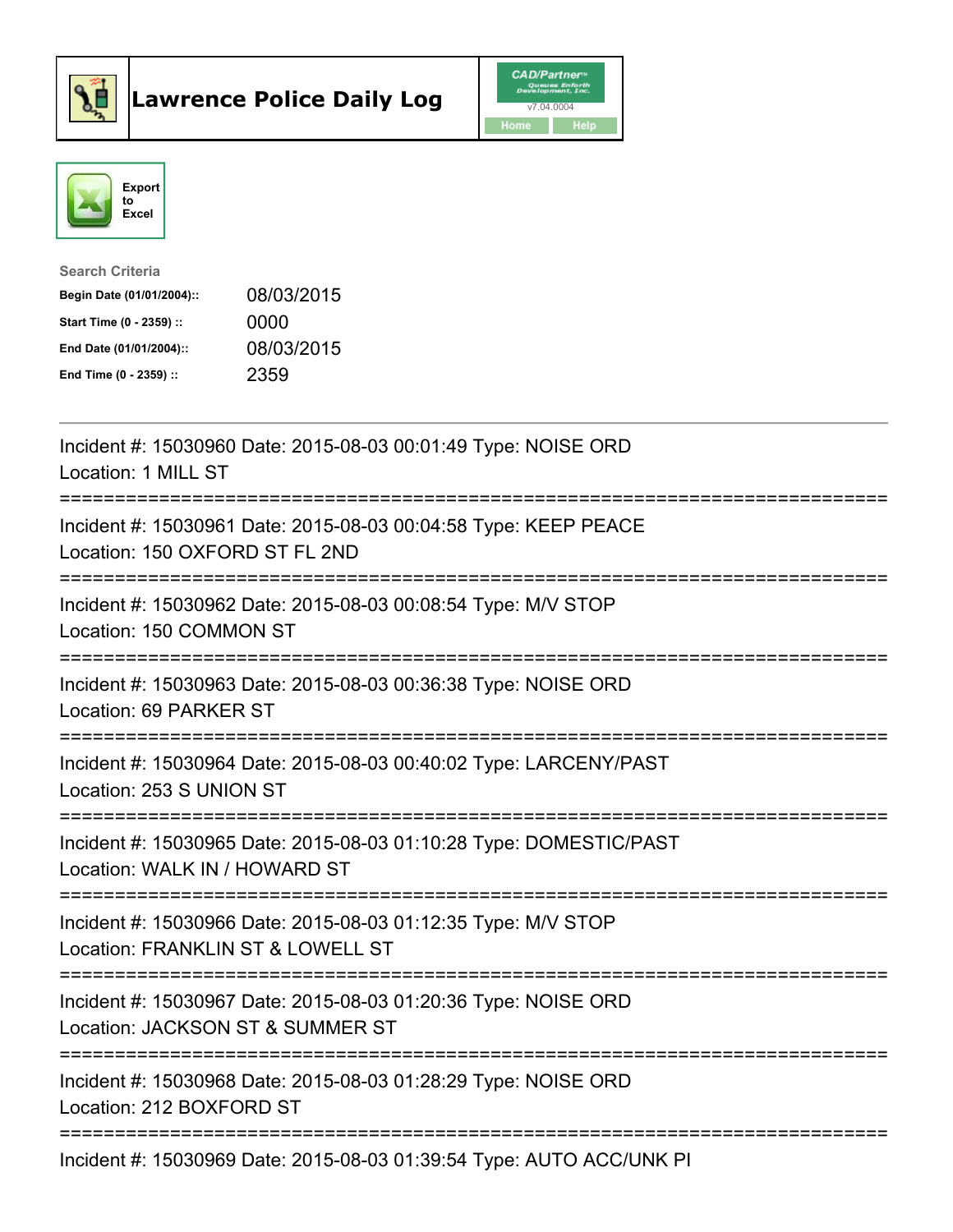



| <b>Search Criteria</b>    |            |
|---------------------------|------------|
| Begin Date (01/01/2004):: | 08/03/2015 |
| Start Time (0 - 2359) ::  | 0000       |
| End Date (01/01/2004)::   | 08/03/2015 |
| End Time (0 - 2359) ::    | 2359       |

| Incident #: 15030960 Date: 2015-08-03 00:01:49 Type: NOISE ORD<br>Location: 1 MILL ST                                                                                      |
|----------------------------------------------------------------------------------------------------------------------------------------------------------------------------|
| Incident #: 15030961 Date: 2015-08-03 00:04:58 Type: KEEP PEACE<br>Location: 150 OXFORD ST FL 2ND<br>:========================                                             |
| Incident #: 15030962 Date: 2015-08-03 00:08:54 Type: M/V STOP<br>Location: 150 COMMON ST                                                                                   |
| Incident #: 15030963 Date: 2015-08-03 00:36:38 Type: NOISE ORD<br>Location: 69 PARKER ST<br>--------------------                                                           |
| Incident #: 15030964 Date: 2015-08-03 00:40:02 Type: LARCENY/PAST<br>Location: 253 S UNION ST                                                                              |
| Incident #: 15030965 Date: 2015-08-03 01:10:28 Type: DOMESTIC/PAST<br>Location: WALK IN / HOWARD ST                                                                        |
| Incident #: 15030966 Date: 2015-08-03 01:12:35 Type: M/V STOP<br>Location: FRANKLIN ST & LOWELL ST                                                                         |
| Incident #: 15030967 Date: 2015-08-03 01:20:36 Type: NOISE ORD<br>Location: JACKSON ST & SUMMER ST<br>==========================<br>______________________________________ |
| Incident #: 15030968 Date: 2015-08-03 01:28:29 Type: NOISE ORD<br>Location: 212 BOXFORD ST<br>---------------------                                                        |
| Incident #: 15030969 Date: 2015-08-03 01:39:54 Type: AUTO ACC/UNK PI                                                                                                       |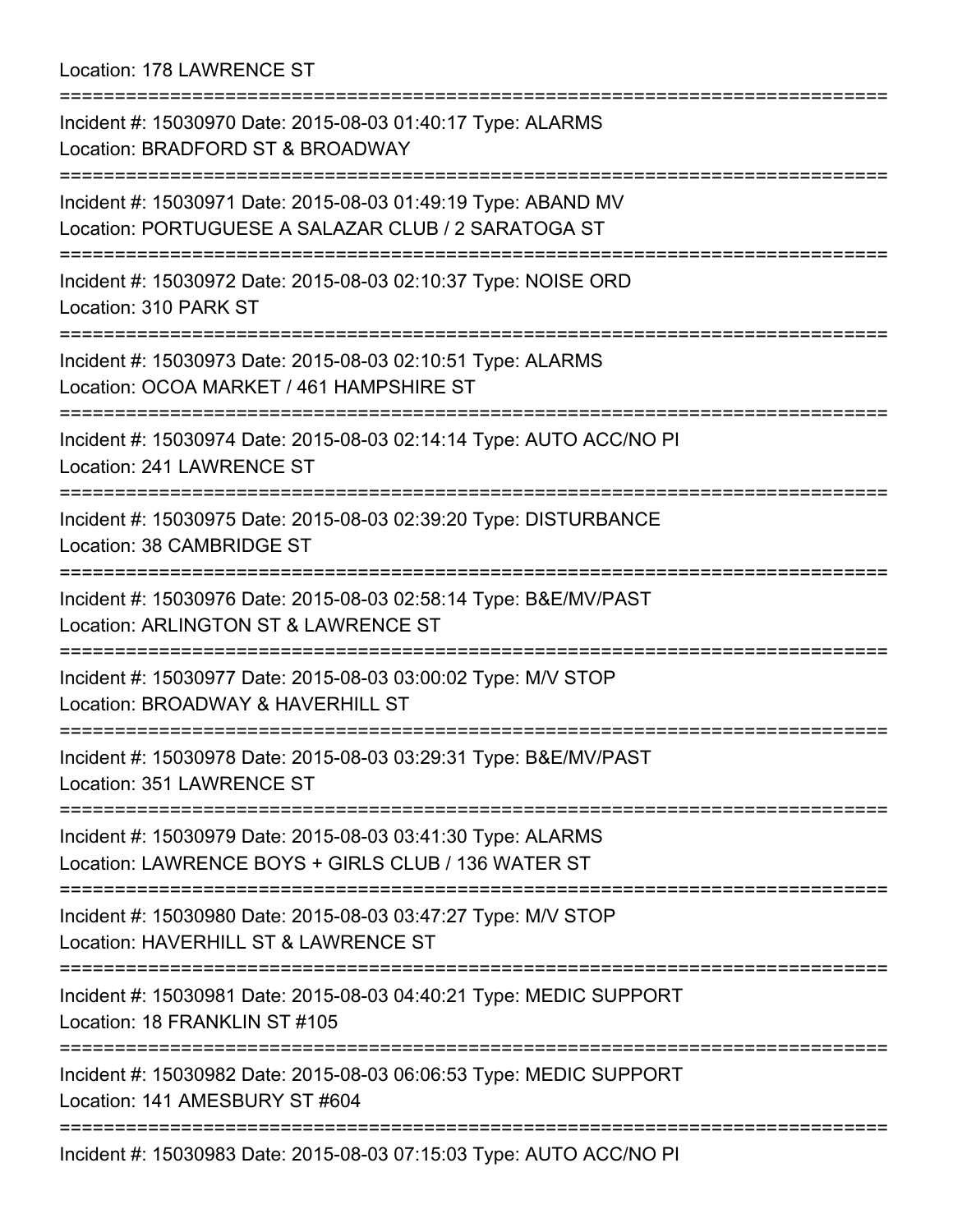Location: 178 LAWRENCE ST

=========================================================================== Incident #: 15030970 Date: 2015-08-03 01:40:17 Type: ALARMS Location: BRADFORD ST & BROADWAY =========================================================================== Incident #: 15030971 Date: 2015-08-03 01:49:19 Type: ABAND MV Location: PORTUGUESE A SALAZAR CLUB / 2 SARATOGA ST =========================================================================== Incident #: 15030972 Date: 2015-08-03 02:10:37 Type: NOISE ORD Location: 310 PARK ST =========================================================================== Incident #: 15030973 Date: 2015-08-03 02:10:51 Type: ALARMS Location: OCOA MARKET / 461 HAMPSHIRE ST =========================================================================== Incident #: 15030974 Date: 2015-08-03 02:14:14 Type: AUTO ACC/NO PI Location: 241 LAWRENCE ST =========================================================================== Incident #: 15030975 Date: 2015-08-03 02:39:20 Type: DISTURBANCE Location: 38 CAMBRIDGE ST =========================================================================== Incident #: 15030976 Date: 2015-08-03 02:58:14 Type: B&E/MV/PAST Location: ARLINGTON ST & LAWRENCE ST =========================================================================== Incident #: 15030977 Date: 2015-08-03 03:00:02 Type: M/V STOP Location: BROADWAY & HAVERHILL ST =========================================================================== Incident #: 15030978 Date: 2015-08-03 03:29:31 Type: B&E/MV/PAST Location: 351 LAWRENCE ST =========================================================================== Incident #: 15030979 Date: 2015-08-03 03:41:30 Type: ALARMS Location: LAWRENCE BOYS + GIRLS CLUB / 136 WATER ST =========================================================================== Incident #: 15030980 Date: 2015-08-03 03:47:27 Type: M/V STOP Location: HAVERHILL ST & LAWRENCE ST =========================================================================== Incident #: 15030981 Date: 2015-08-03 04:40:21 Type: MEDIC SUPPORT Location: 18 FRANKLIN ST #105 =========================================================================== Incident #: 15030982 Date: 2015-08-03 06:06:53 Type: MEDIC SUPPORT Location: 141 AMESBURY ST #604 =========================================================================== Incident #: 15030983 Date: 2015-08-03 07:15:03 Type: AUTO ACC/NO PI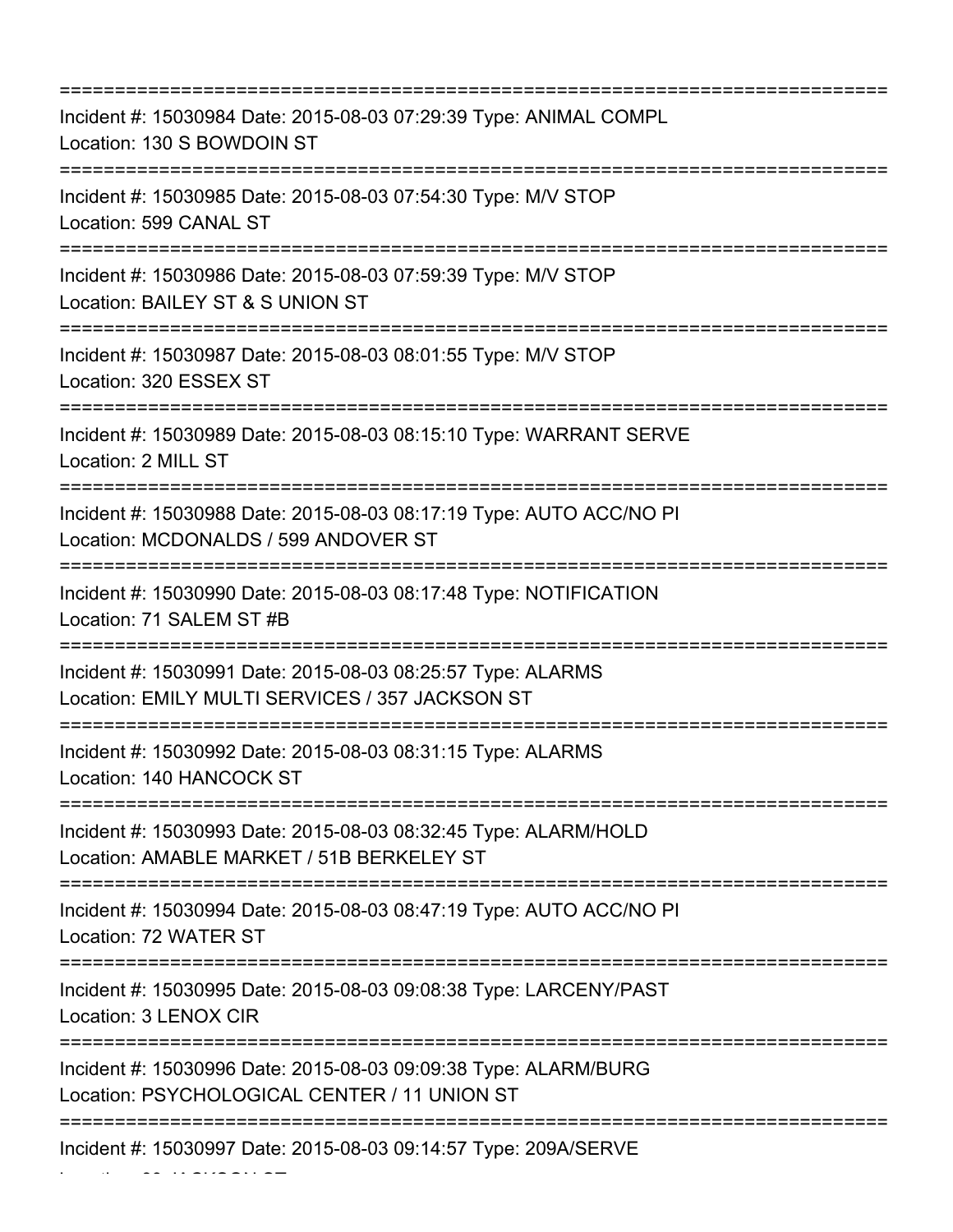| Incident #: 15030984 Date: 2015-08-03 07:29:39 Type: ANIMAL COMPL<br>Location: 130 S BOWDOIN ST<br>:======================== |
|------------------------------------------------------------------------------------------------------------------------------|
| Incident #: 15030985 Date: 2015-08-03 07:54:30 Type: M/V STOP<br>Location: 599 CANAL ST                                      |
| Incident #: 15030986 Date: 2015-08-03 07:59:39 Type: M/V STOP<br>Location: BAILEY ST & S UNION ST                            |
| Incident #: 15030987 Date: 2015-08-03 08:01:55 Type: M/V STOP<br>Location: 320 ESSEX ST                                      |
| Incident #: 15030989 Date: 2015-08-03 08:15:10 Type: WARRANT SERVE<br>Location: 2 MILL ST                                    |
| Incident #: 15030988 Date: 2015-08-03 08:17:19 Type: AUTO ACC/NO PI<br>Location: MCDONALDS / 599 ANDOVER ST                  |
| Incident #: 15030990 Date: 2015-08-03 08:17:48 Type: NOTIFICATION<br>Location: 71 SALEM ST #B                                |
| Incident #: 15030991 Date: 2015-08-03 08:25:57 Type: ALARMS<br>Location: EMILY MULTI SERVICES / 357 JACKSON ST               |
| Incident #: 15030992 Date: 2015-08-03 08:31:15 Type: ALARMS<br>Location: 140 HANCOCK ST                                      |
| Incident #: 15030993 Date: 2015-08-03 08:32:45 Type: ALARM/HOLD<br>Location: AMABLE MARKET / 51B BERKELEY ST                 |
| Incident #: 15030994 Date: 2015-08-03 08:47:19 Type: AUTO ACC/NO PI<br>Location: 72 WATER ST                                 |
| Incident #: 15030995 Date: 2015-08-03 09:08:38 Type: LARCENY/PAST<br>Location: 3 LENOX CIR                                   |
| Incident #: 15030996 Date: 2015-08-03 09:09:38 Type: ALARM/BURG<br>Location: PSYCHOLOGICAL CENTER / 11 UNION ST              |
| Incident #: 15030997 Date: 2015-08-03 09:14:57 Type: 209A/SERVE                                                              |

Location: 39 JACKSON ST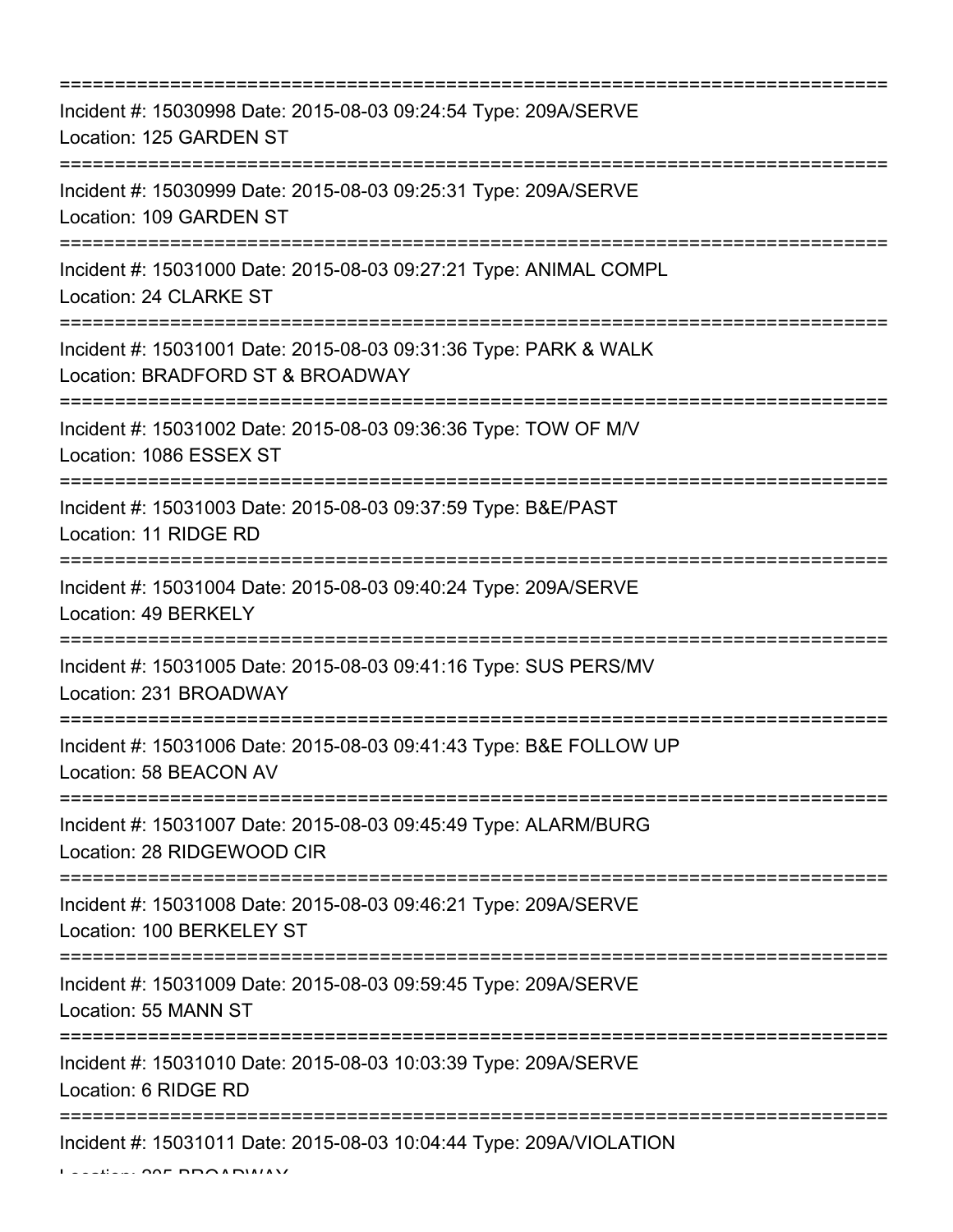| Incident #: 15030998 Date: 2015-08-03 09:24:54 Type: 209A/SERVE<br>Location: 125 GARDEN ST                              |
|-------------------------------------------------------------------------------------------------------------------------|
| Incident #: 15030999 Date: 2015-08-03 09:25:31 Type: 209A/SERVE<br>Location: 109 GARDEN ST                              |
| Incident #: 15031000 Date: 2015-08-03 09:27:21 Type: ANIMAL COMPL<br>Location: 24 CLARKE ST                             |
| Incident #: 15031001 Date: 2015-08-03 09:31:36 Type: PARK & WALK<br>Location: BRADFORD ST & BROADWAY                    |
| Incident #: 15031002 Date: 2015-08-03 09:36:36 Type: TOW OF M/V<br>Location: 1086 ESSEX ST                              |
| Incident #: 15031003 Date: 2015-08-03 09:37:59 Type: B&E/PAST<br>Location: 11 RIDGE RD<br>----------------------------- |
| Incident #: 15031004 Date: 2015-08-03 09:40:24 Type: 209A/SERVE<br>Location: 49 BERKELY<br>=====================        |
| Incident #: 15031005 Date: 2015-08-03 09:41:16 Type: SUS PERS/MV<br>Location: 231 BROADWAY                              |
| Incident #: 15031006 Date: 2015-08-03 09:41:43 Type: B&E FOLLOW UP<br>Location: 58 BEACON AV                            |
| Incident #: 15031007 Date: 2015-08-03 09:45:49 Type: ALARM/BURG<br>Location: 28 RIDGEWOOD CIR                           |
| Incident #: 15031008 Date: 2015-08-03 09:46:21 Type: 209A/SERVE<br>Location: 100 BERKELEY ST                            |
| Incident #: 15031009 Date: 2015-08-03 09:59:45 Type: 209A/SERVE<br>Location: 55 MANN ST                                 |
| Incident #: 15031010 Date: 2015-08-03 10:03:39 Type: 209A/SERVE<br>Location: 6 RIDGE RD                                 |
| Incident #: 15031011 Date: 2015-08-03 10:04:44 Type: 209A/VIOLATION                                                     |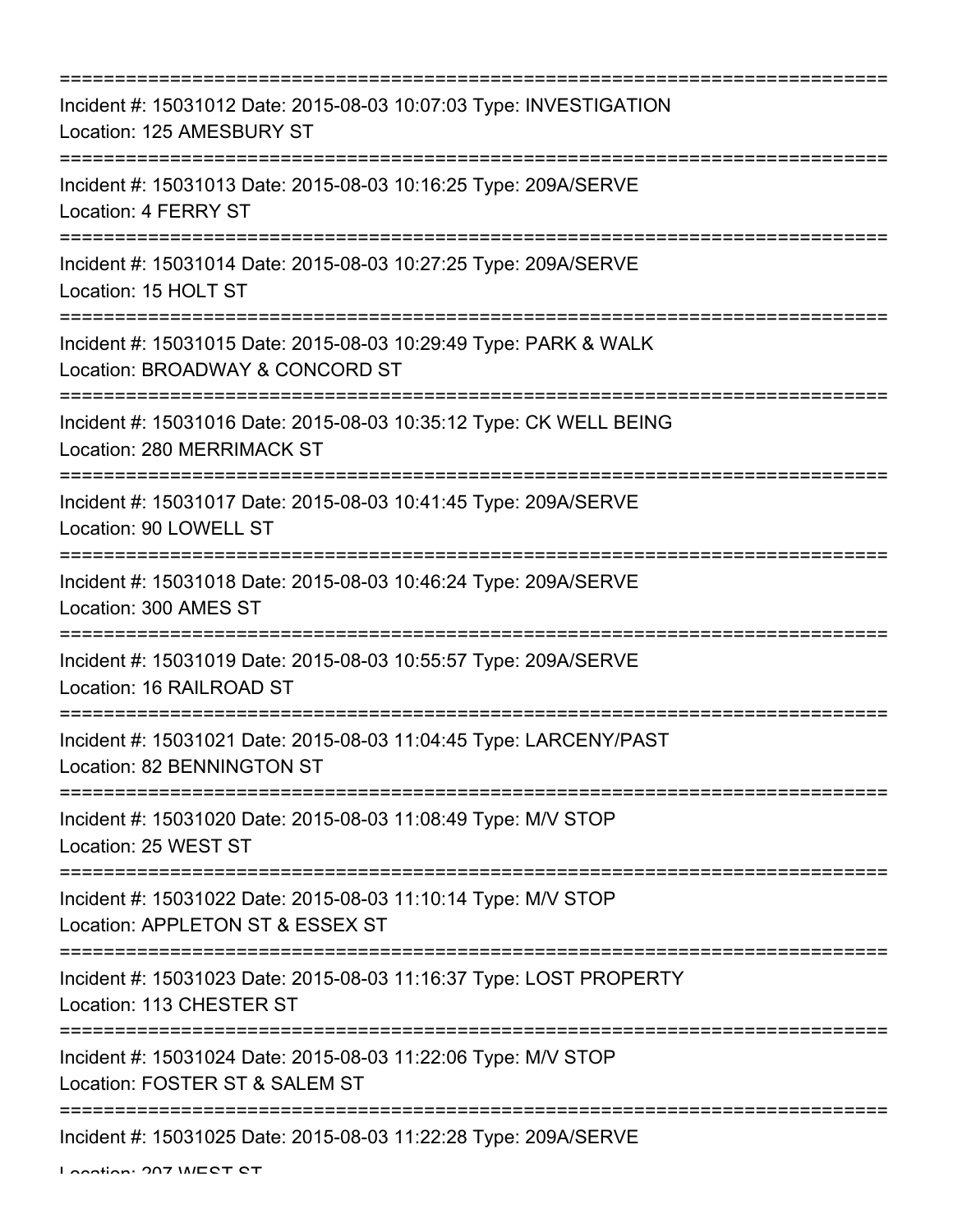| Incident #: 15031012 Date: 2015-08-03 10:07:03 Type: INVESTIGATION<br>Location: 125 AMESBURY ST                              |
|------------------------------------------------------------------------------------------------------------------------------|
| Incident #: 15031013 Date: 2015-08-03 10:16:25 Type: 209A/SERVE<br><b>Location: 4 FERRY ST</b>                               |
| Incident #: 15031014 Date: 2015-08-03 10:27:25 Type: 209A/SERVE<br>Location: 15 HOLT ST                                      |
| Incident #: 15031015 Date: 2015-08-03 10:29:49 Type: PARK & WALK<br>Location: BROADWAY & CONCORD ST                          |
| Incident #: 15031016 Date: 2015-08-03 10:35:12 Type: CK WELL BEING<br>Location: 280 MERRIMACK ST                             |
| Incident #: 15031017 Date: 2015-08-03 10:41:45 Type: 209A/SERVE<br>Location: 90 LOWELL ST                                    |
| Incident #: 15031018 Date: 2015-08-03 10:46:24 Type: 209A/SERVE<br>Location: 300 AMES ST                                     |
| Incident #: 15031019 Date: 2015-08-03 10:55:57 Type: 209A/SERVE<br>Location: 16 RAILROAD ST                                  |
| Incident #: 15031021 Date: 2015-08-03 11:04:45 Type: LARCENY/PAST<br>Location: 82 BENNINGTON ST                              |
| -----------------------------------<br>Incident #: 15031020 Date: 2015-08-03 11:08:49 Type: M/V STOP<br>Location: 25 WEST ST |
| Incident #: 15031022 Date: 2015-08-03 11:10:14 Type: M/V STOP<br>Location: APPLETON ST & ESSEX ST                            |
| Incident #: 15031023 Date: 2015-08-03 11:16:37 Type: LOST PROPERTY<br>Location: 113 CHESTER ST                               |
| Incident #: 15031024 Date: 2015-08-03 11:22:06 Type: M/V STOP<br>Location: FOSTER ST & SALEM ST                              |
| ============================<br>Incident #: 15031025 Date: 2015-08-03 11:22:28 Type: 209A/SERVE                              |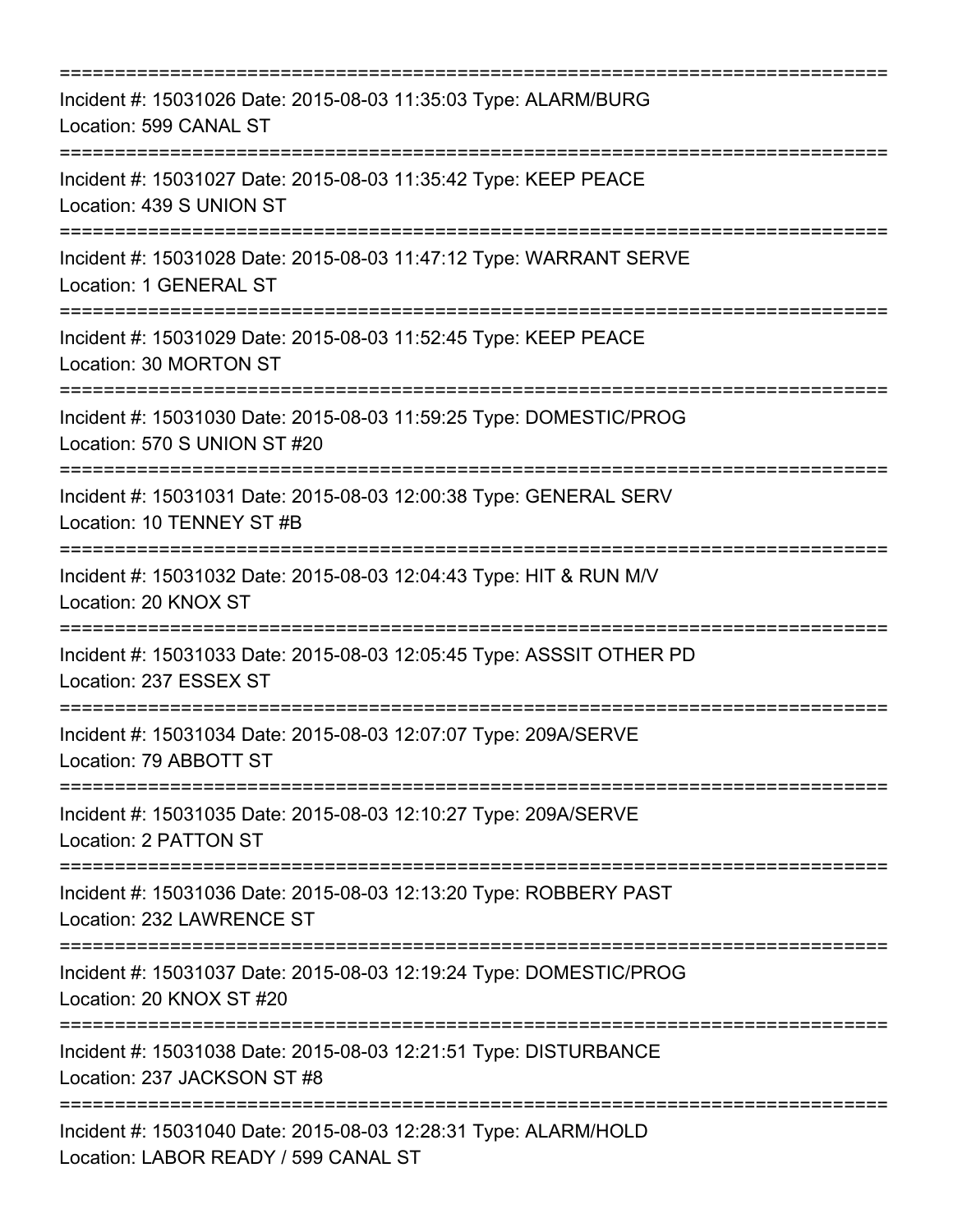| Incident #: 15031026 Date: 2015-08-03 11:35:03 Type: ALARM/BURG<br>Location: 599 CANAL ST                                         |
|-----------------------------------------------------------------------------------------------------------------------------------|
| Incident #: 15031027 Date: 2015-08-03 11:35:42 Type: KEEP PEACE<br>Location: 439 S UNION ST                                       |
| Incident #: 15031028 Date: 2015-08-03 11:47:12 Type: WARRANT SERVE<br>Location: 1 GENERAL ST                                      |
| Incident #: 15031029 Date: 2015-08-03 11:52:45 Type: KEEP PEACE<br>Location: 30 MORTON ST                                         |
| Incident #: 15031030 Date: 2015-08-03 11:59:25 Type: DOMESTIC/PROG<br>Location: 570 S UNION ST #20                                |
| Incident #: 15031031 Date: 2015-08-03 12:00:38 Type: GENERAL SERV<br>Location: 10 TENNEY ST #B<br>============================    |
| Incident #: 15031032 Date: 2015-08-03 12:04:43 Type: HIT & RUN M/V<br>Location: 20 KNOX ST<br>;================================== |
| Incident #: 15031033 Date: 2015-08-03 12:05:45 Type: ASSSIT OTHER PD<br>Location: 237 ESSEX ST                                    |
| Incident #: 15031034 Date: 2015-08-03 12:07:07 Type: 209A/SERVE<br>Location: 79 ABBOTT ST                                         |
| Incident #: 15031035 Date: 2015-08-03 12:10:27 Type: 209A/SERVE<br>Location: 2 PATTON ST                                          |
| Incident #: 15031036 Date: 2015-08-03 12:13:20 Type: ROBBERY PAST<br>Location: 232 LAWRENCE ST                                    |
| Incident #: 15031037 Date: 2015-08-03 12:19:24 Type: DOMESTIC/PROG<br>Location: 20 KNOX ST #20                                    |
| Incident #: 15031038 Date: 2015-08-03 12:21:51 Type: DISTURBANCE<br>Location: 237 JACKSON ST #8                                   |
| Incident #: 15031040 Date: 2015-08-03 12:28:31 Type: ALARM/HOLD<br>Location: LABOR READY / 599 CANAL ST                           |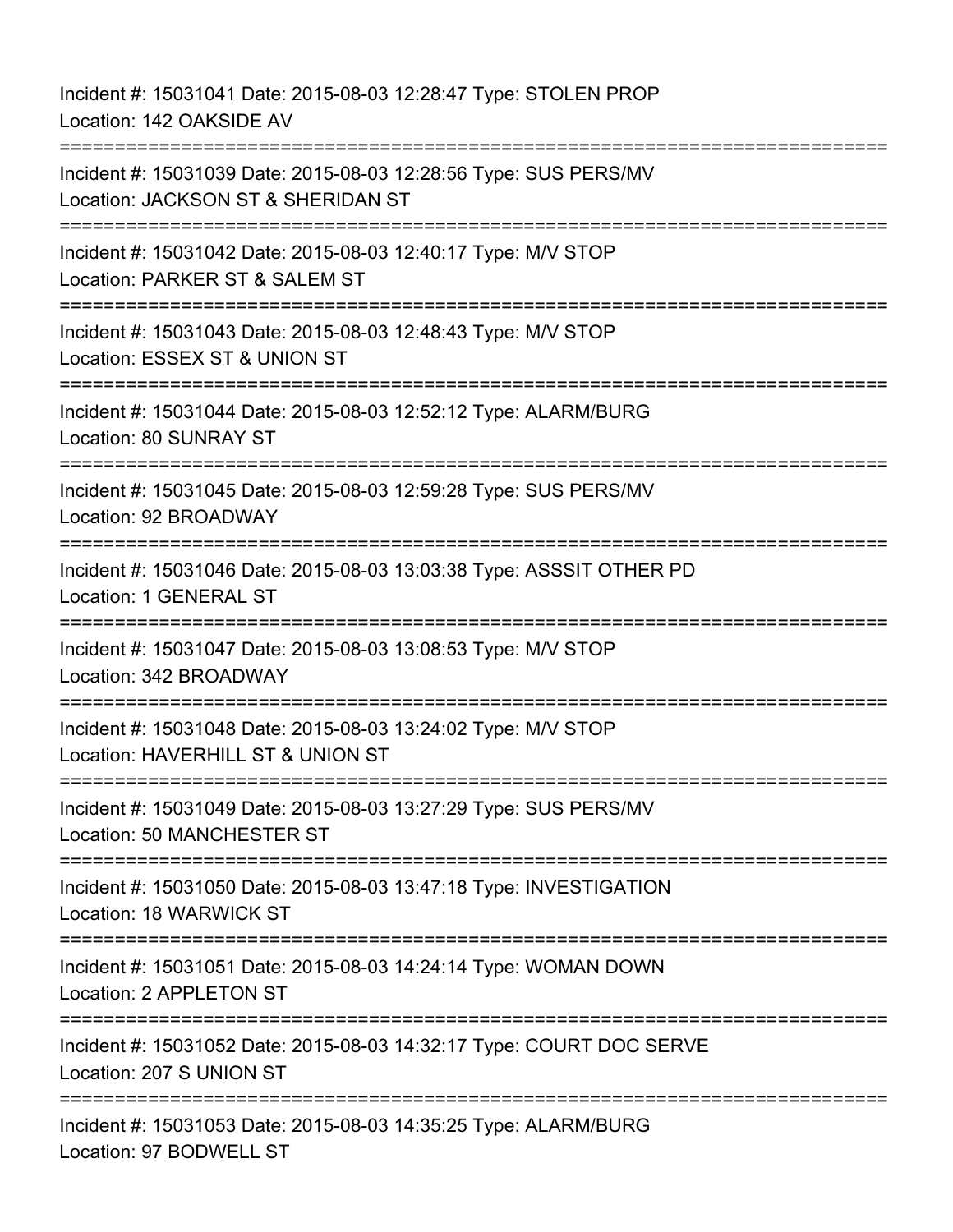Incident #: 15031041 Date: 2015-08-03 12:28:47 Type: STOLEN PROP Location: 142 OAKSIDE AV =========================================================================== Incident #: 15031039 Date: 2015-08-03 12:28:56 Type: SUS PERS/MV Location: JACKSON ST & SHERIDAN ST =========================================================================== Incident #: 15031042 Date: 2015-08-03 12:40:17 Type: M/V STOP Location: PARKER ST & SALEM ST =========================================================================== Incident #: 15031043 Date: 2015-08-03 12:48:43 Type: M/V STOP Location: ESSEX ST & UNION ST =========================================================================== Incident #: 15031044 Date: 2015-08-03 12:52:12 Type: ALARM/BURG Location: 80 SUNRAY ST =========================================================================== Incident #: 15031045 Date: 2015-08-03 12:59:28 Type: SUS PERS/MV Location: 92 BROADWAY =========================================================================== Incident #: 15031046 Date: 2015-08-03 13:03:38 Type: ASSSIT OTHER PD Location: 1 GENERAL ST =========================================================================== Incident #: 15031047 Date: 2015-08-03 13:08:53 Type: M/V STOP Location: 342 BROADWAY =========================================================================== Incident #: 15031048 Date: 2015-08-03 13:24:02 Type: M/V STOP Location: HAVERHILL ST & UNION ST =========================================================================== Incident #: 15031049 Date: 2015-08-03 13:27:29 Type: SUS PERS/MV Location: 50 MANCHESTER ST =========================================================================== Incident #: 15031050 Date: 2015-08-03 13:47:18 Type: INVESTIGATION Location: 18 WARWICK ST =========================================================================== Incident #: 15031051 Date: 2015-08-03 14:24:14 Type: WOMAN DOWN Location: 2 APPLETON ST =========================================================================== Incident #: 15031052 Date: 2015-08-03 14:32:17 Type: COURT DOC SERVE Location: 207 S UNION ST =========================================================================== Incident #: 15031053 Date: 2015-08-03 14:35:25 Type: ALARM/BURG Location: 97 BODWELL ST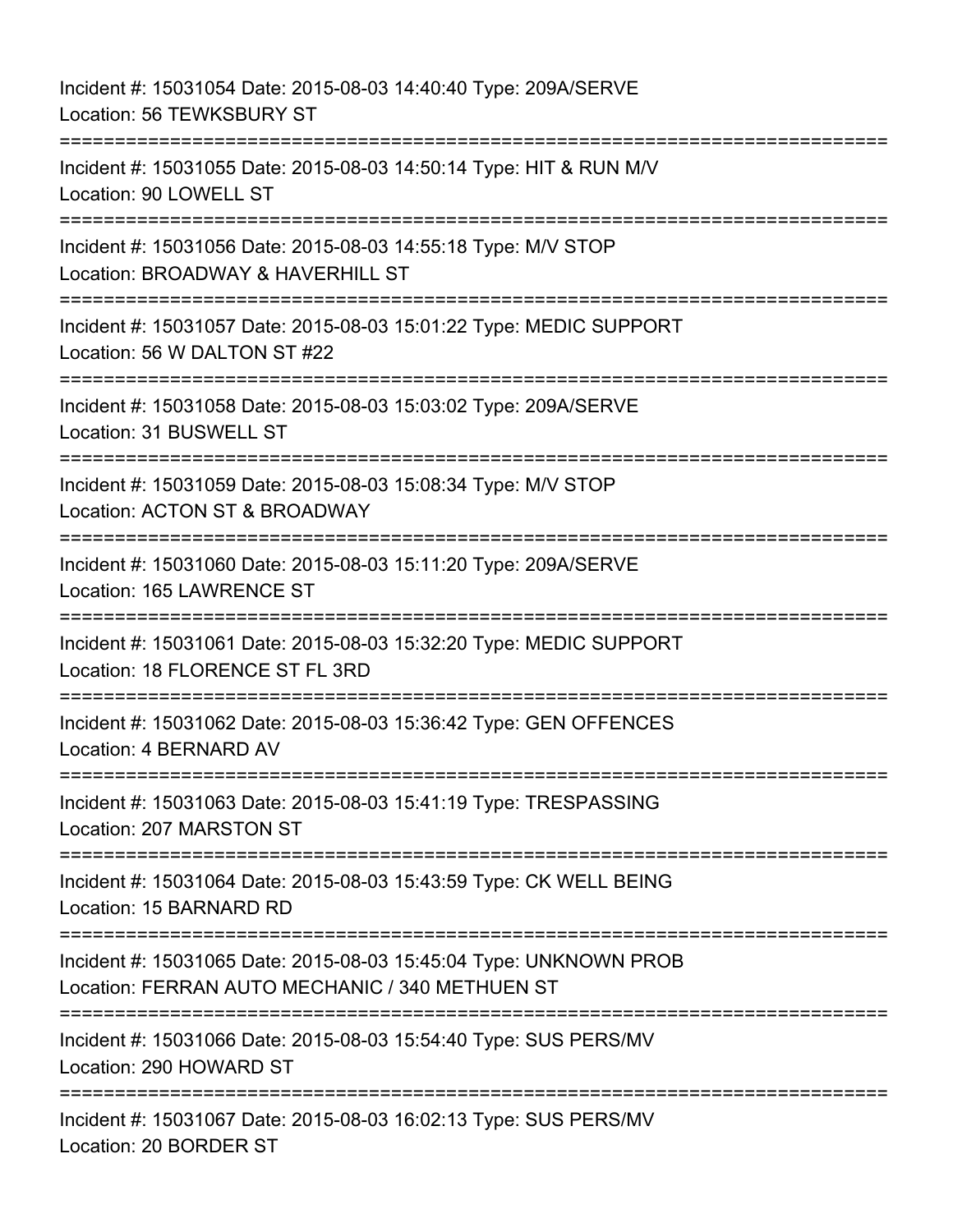Incident #: 15031054 Date: 2015-08-03 14:40:40 Type: 209A/SERVE Location: 56 TEWKSBURY ST =========================================================================== Incident #: 15031055 Date: 2015-08-03 14:50:14 Type: HIT & RUN M/V Location: 90 LOWELL ST =========================================================================== Incident #: 15031056 Date: 2015-08-03 14:55:18 Type: M/V STOP Location: BROADWAY & HAVERHILL ST =========================================================================== Incident #: 15031057 Date: 2015-08-03 15:01:22 Type: MEDIC SUPPORT Location: 56 W DALTON ST #22 =========================================================================== Incident #: 15031058 Date: 2015-08-03 15:03:02 Type: 209A/SERVE Location: 31 BUSWELL ST =========================================================================== Incident #: 15031059 Date: 2015-08-03 15:08:34 Type: M/V STOP Location: ACTON ST & BROADWAY =========================================================================== Incident #: 15031060 Date: 2015-08-03 15:11:20 Type: 209A/SERVE Location: 165 LAWRENCE ST =========================================================================== Incident #: 15031061 Date: 2015-08-03 15:32:20 Type: MEDIC SUPPORT Location: 18 FLORENCE ST FL 3RD =========================================================================== Incident #: 15031062 Date: 2015-08-03 15:36:42 Type: GEN OFFENCES Location: 4 BERNARD AV =========================================================================== Incident #: 15031063 Date: 2015-08-03 15:41:19 Type: TRESPASSING Location: 207 MARSTON ST =========================================================================== Incident #: 15031064 Date: 2015-08-03 15:43:59 Type: CK WELL BEING Location: 15 BARNARD RD =========================================================================== Incident #: 15031065 Date: 2015-08-03 15:45:04 Type: UNKNOWN PROB Location: FERRAN AUTO MECHANIC / 340 METHUEN ST =========================================================================== Incident #: 15031066 Date: 2015-08-03 15:54:40 Type: SUS PERS/MV Location: 290 HOWARD ST =========================================================================== Incident #: 15031067 Date: 2015-08-03 16:02:13 Type: SUS PERS/MV Location: 20 BORDER ST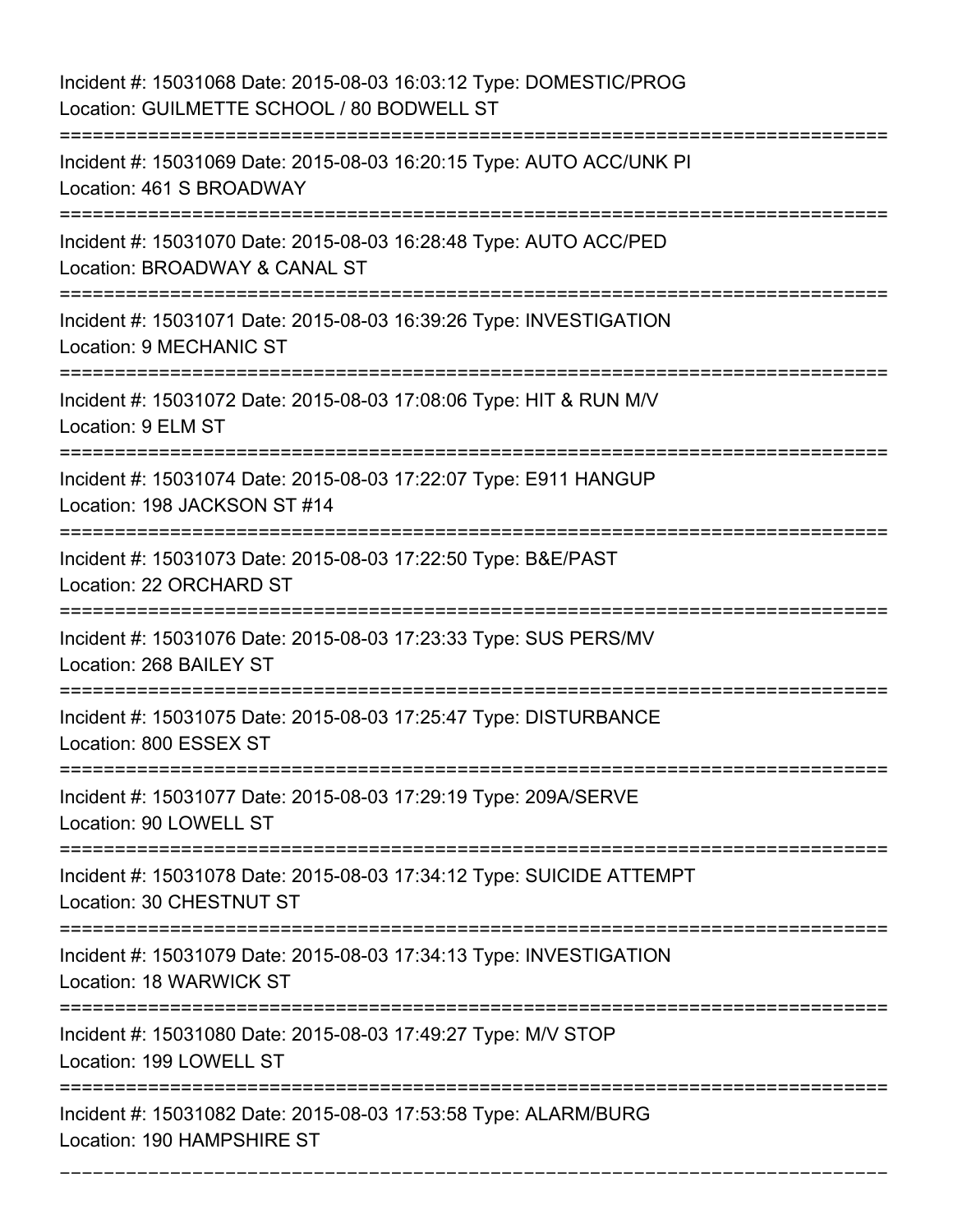| Incident #: 15031068 Date: 2015-08-03 16:03:12 Type: DOMESTIC/PROG<br>Location: GUILMETTE SCHOOL / 80 BODWELL ST |
|------------------------------------------------------------------------------------------------------------------|
| Incident #: 15031069 Date: 2015-08-03 16:20:15 Type: AUTO ACC/UNK PI<br>Location: 461 S BROADWAY                 |
| Incident #: 15031070 Date: 2015-08-03 16:28:48 Type: AUTO ACC/PED<br>Location: BROADWAY & CANAL ST               |
| Incident #: 15031071 Date: 2015-08-03 16:39:26 Type: INVESTIGATION<br>Location: 9 MECHANIC ST                    |
| Incident #: 15031072 Date: 2015-08-03 17:08:06 Type: HIT & RUN M/V<br>Location: 9 ELM ST                         |
| Incident #: 15031074 Date: 2015-08-03 17:22:07 Type: E911 HANGUP<br>Location: 198 JACKSON ST #14                 |
| Incident #: 15031073 Date: 2015-08-03 17:22:50 Type: B&E/PAST<br>Location: 22 ORCHARD ST                         |
| Incident #: 15031076 Date: 2015-08-03 17:23:33 Type: SUS PERS/MV<br>Location: 268 BAILEY ST                      |
| Incident #: 15031075 Date: 2015-08-03 17:25:47 Type: DISTURBANCE<br>Location: 800 ESSEX ST                       |
| Incident #: 15031077 Date: 2015-08-03 17:29:19 Type: 209A/SERVE<br>Location: 90 LOWELL ST                        |
| Incident #: 15031078 Date: 2015-08-03 17:34:12 Type: SUICIDE ATTEMPT<br>Location: 30 CHESTNUT ST                 |
| Incident #: 15031079 Date: 2015-08-03 17:34:13 Type: INVESTIGATION<br>Location: 18 WARWICK ST                    |
| Incident #: 15031080 Date: 2015-08-03 17:49:27 Type: M/V STOP<br>Location: 199 LOWELL ST                         |
| Incident #: 15031082 Date: 2015-08-03 17:53:58 Type: ALARM/BURG<br>Location: 190 HAMPSHIRE ST                    |

===========================================================================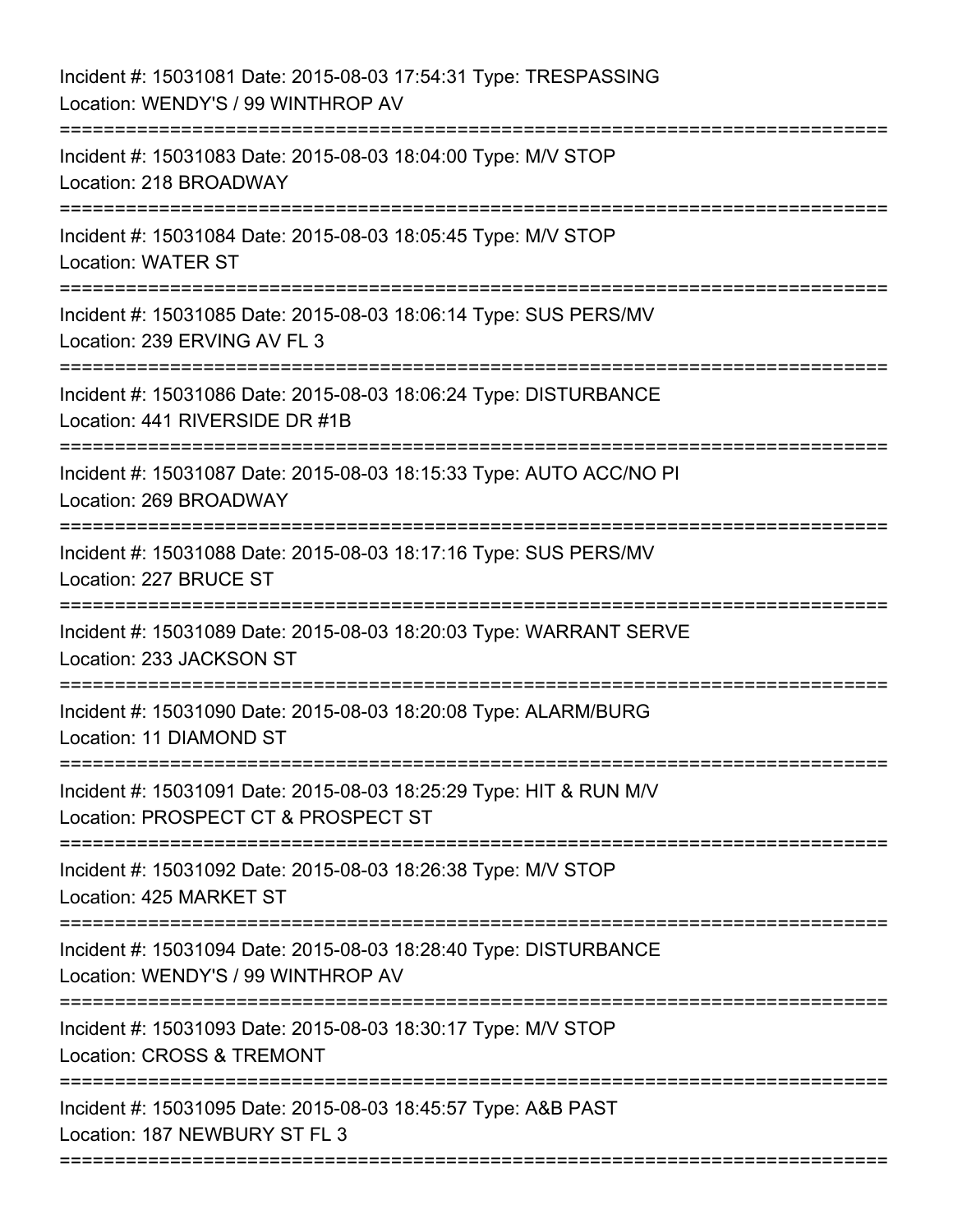| Incident #: 15031081 Date: 2015-08-03 17:54:31 Type: TRESPASSING<br>Location: WENDY'S / 99 WINTHROP AV    |
|-----------------------------------------------------------------------------------------------------------|
| Incident #: 15031083 Date: 2015-08-03 18:04:00 Type: M/V STOP<br>Location: 218 BROADWAY                   |
| Incident #: 15031084 Date: 2015-08-03 18:05:45 Type: M/V STOP<br><b>Location: WATER ST</b>                |
| Incident #: 15031085 Date: 2015-08-03 18:06:14 Type: SUS PERS/MV<br>Location: 239 ERVING AV FL 3          |
| Incident #: 15031086 Date: 2015-08-03 18:06:24 Type: DISTURBANCE<br>Location: 441 RIVERSIDE DR #1B        |
| Incident #: 15031087 Date: 2015-08-03 18:15:33 Type: AUTO ACC/NO PI<br>Location: 269 BROADWAY             |
| Incident #: 15031088 Date: 2015-08-03 18:17:16 Type: SUS PERS/MV<br>Location: 227 BRUCE ST                |
| Incident #: 15031089 Date: 2015-08-03 18:20:03 Type: WARRANT SERVE<br>Location: 233 JACKSON ST            |
| Incident #: 15031090 Date: 2015-08-03 18:20:08 Type: ALARM/BURG<br>Location: 11 DIAMOND ST                |
| Incident #: 15031091 Date: 2015-08-03 18:25:29 Type: HIT & RUN M/V<br>Location: PROSPECT CT & PROSPECT ST |
| Incident #: 15031092 Date: 2015-08-03 18:26:38 Type: M/V STOP<br>Location: 425 MARKET ST                  |
| Incident #: 15031094 Date: 2015-08-03 18:28:40 Type: DISTURBANCE<br>Location: WENDY'S / 99 WINTHROP AV    |
| Incident #: 15031093 Date: 2015-08-03 18:30:17 Type: M/V STOP<br>Location: CROSS & TREMONT                |
| Incident #: 15031095 Date: 2015-08-03 18:45:57 Type: A&B PAST<br>Location: 187 NEWBURY ST FL 3            |
|                                                                                                           |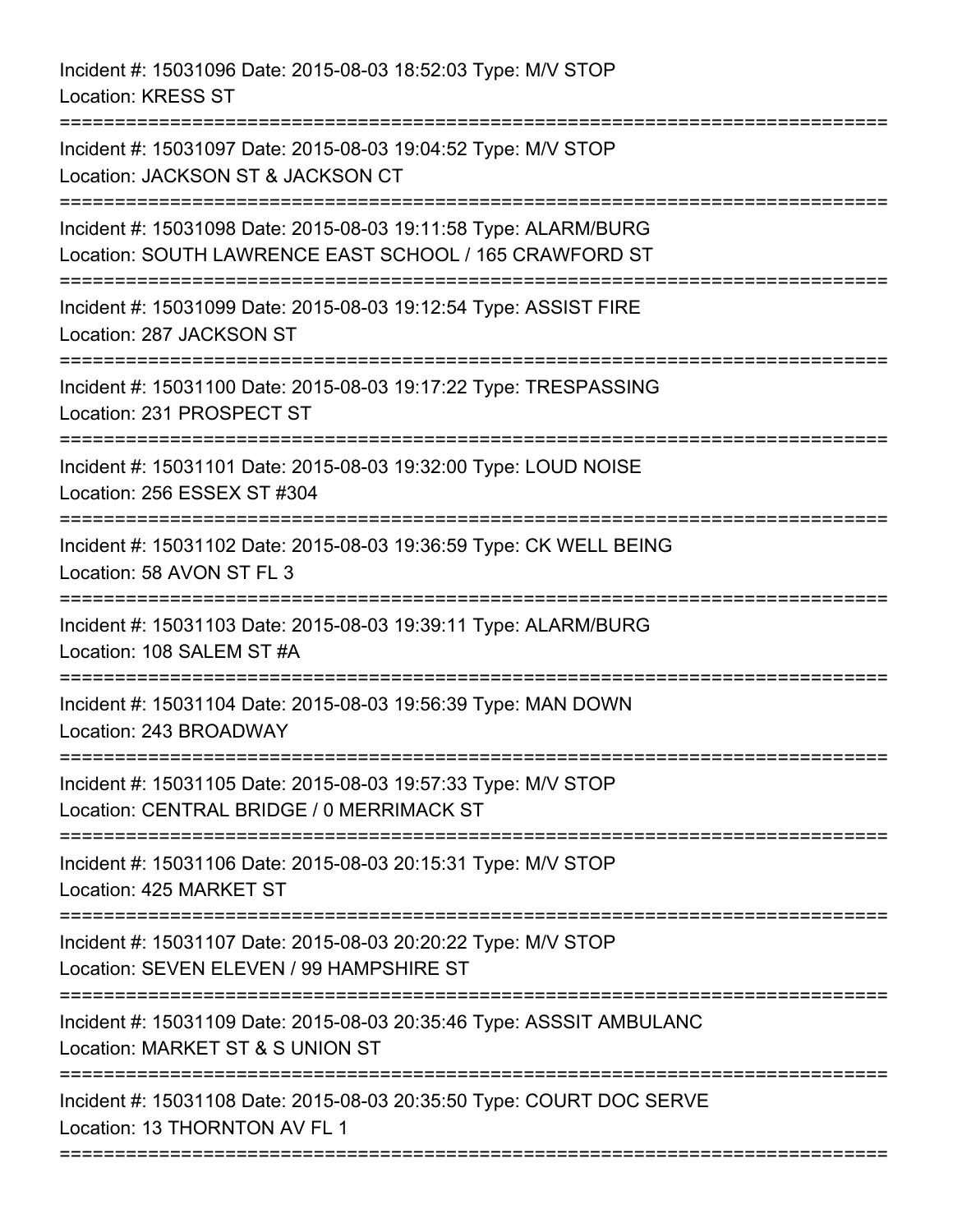Incident #: 15031096 Date: 2015-08-03 18:52:03 Type: M/V STOP Location: KRESS ST =========================================================================== Incident #: 15031097 Date: 2015-08-03 19:04:52 Type: M/V STOP Location: JACKSON ST & JACKSON CT =========================================================================== Incident #: 15031098 Date: 2015-08-03 19:11:58 Type: ALARM/BURG Location: SOUTH LAWRENCE EAST SCHOOL / 165 CRAWFORD ST =========================================================================== Incident #: 15031099 Date: 2015-08-03 19:12:54 Type: ASSIST FIRE Location: 287 JACKSON ST =========================================================================== Incident #: 15031100 Date: 2015-08-03 19:17:22 Type: TRESPASSING Location: 231 PROSPECT ST =========================================================================== Incident #: 15031101 Date: 2015-08-03 19:32:00 Type: LOUD NOISE Location: 256 ESSEX ST #304 =========================================================================== Incident #: 15031102 Date: 2015-08-03 19:36:59 Type: CK WELL BEING Location: 58 AVON ST FL 3 =========================================================================== Incident #: 15031103 Date: 2015-08-03 19:39:11 Type: ALARM/BURG Location: 108 SALEM ST #A =========================================================================== Incident #: 15031104 Date: 2015-08-03 19:56:39 Type: MAN DOWN Location: 243 BROADWAY =========================================================================== Incident #: 15031105 Date: 2015-08-03 19:57:33 Type: M/V STOP Location: CENTRAL BRIDGE / 0 MERRIMACK ST =========================================================================== Incident #: 15031106 Date: 2015-08-03 20:15:31 Type: M/V STOP Location: 425 MARKET ST =========================================================================== Incident #: 15031107 Date: 2015-08-03 20:20:22 Type: M/V STOP Location: SEVEN ELEVEN / 99 HAMPSHIRE ST =========================================================================== Incident #: 15031109 Date: 2015-08-03 20:35:46 Type: ASSSIT AMBULANC Location: MARKET ST & S UNION ST =========================================================================== Incident #: 15031108 Date: 2015-08-03 20:35:50 Type: COURT DOC SERVE Location: 13 THORNTON AV FL 1

===========================================================================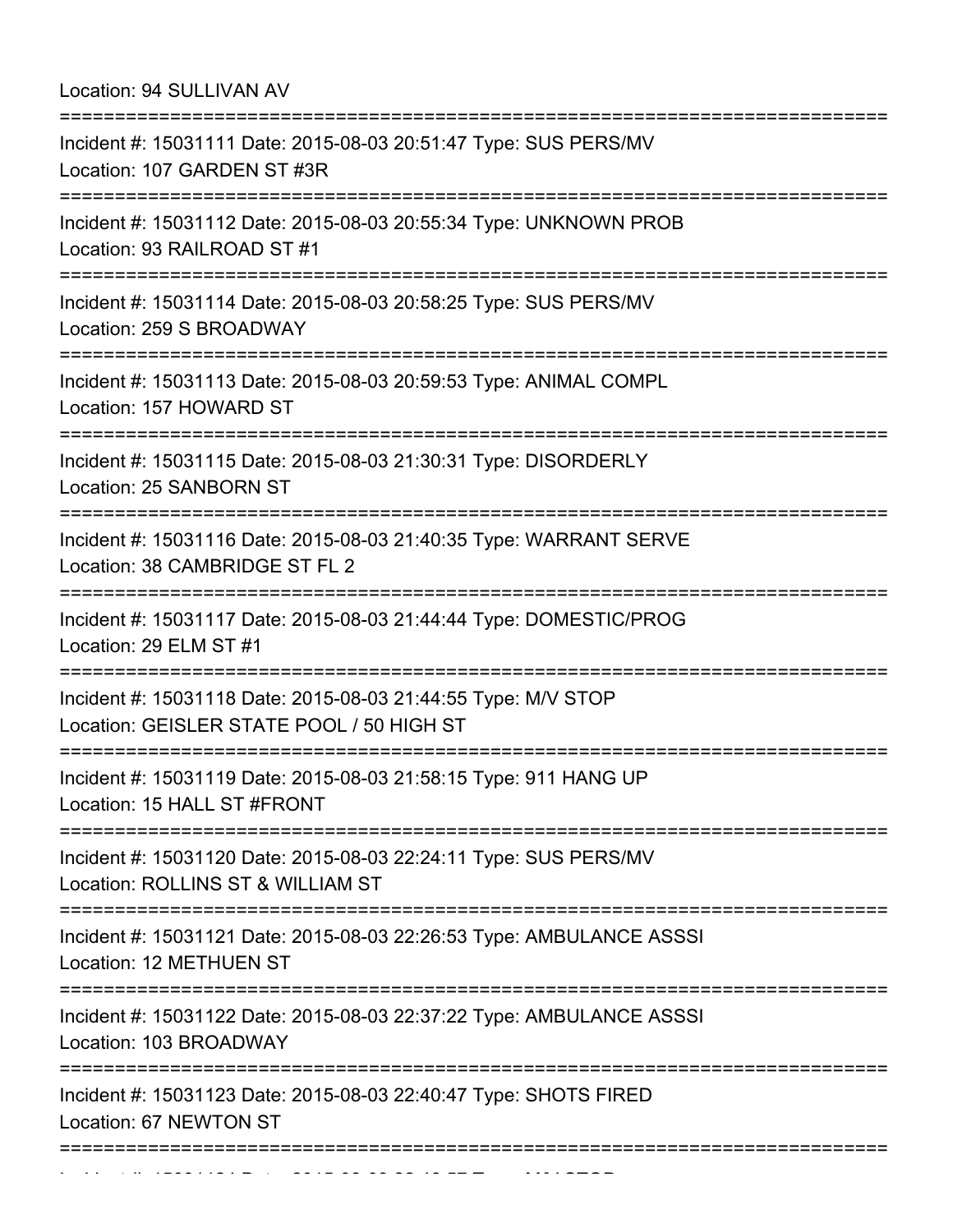Location: 94 SULLIVAN AV

| Incident #: 15031111 Date: 2015-08-03 20:51:47 Type: SUS PERS/MV<br>Location: 107 GARDEN ST #3R                                              |
|----------------------------------------------------------------------------------------------------------------------------------------------|
| Incident #: 15031112 Date: 2015-08-03 20:55:34 Type: UNKNOWN PROB<br>Location: 93 RAILROAD ST #1                                             |
| Incident #: 15031114 Date: 2015-08-03 20:58:25 Type: SUS PERS/MV<br>Location: 259 S BROADWAY                                                 |
| Incident #: 15031113 Date: 2015-08-03 20:59:53 Type: ANIMAL COMPL<br>Location: 157 HOWARD ST                                                 |
| Incident #: 15031115 Date: 2015-08-03 21:30:31 Type: DISORDERLY<br>Location: 25 SANBORN ST                                                   |
| Incident #: 15031116 Date: 2015-08-03 21:40:35 Type: WARRANT SERVE<br>Location: 38 CAMBRIDGE ST FL 2                                         |
| Incident #: 15031117 Date: 2015-08-03 21:44:44 Type: DOMESTIC/PROG<br>Location: 29 ELM ST #1                                                 |
| Incident #: 15031118 Date: 2015-08-03 21:44:55 Type: M/V STOP<br>Location: GEISLER STATE POOL / 50 HIGH ST                                   |
| Incident #: 15031119 Date: 2015-08-03 21:58:15 Type: 911 HANG UP<br>Location: 15 HALL ST #FRONT                                              |
| ===================================<br>Incident #: 15031120 Date: 2015-08-03 22:24:11 Type: SUS PERS/MV<br>Location: ROLLINS ST & WILLIAM ST |
| Incident #: 15031121 Date: 2015-08-03 22:26:53 Type: AMBULANCE ASSSI<br>Location: 12 METHUEN ST                                              |
| Incident #: 15031122 Date: 2015-08-03 22:37:22 Type: AMBULANCE ASSSI<br>Location: 103 BROADWAY                                               |
| Incident #: 15031123 Date: 2015-08-03 22:40:47 Type: SHOTS FIRED<br>Location: 67 NEWTON ST                                                   |
| :================                                                                                                                            |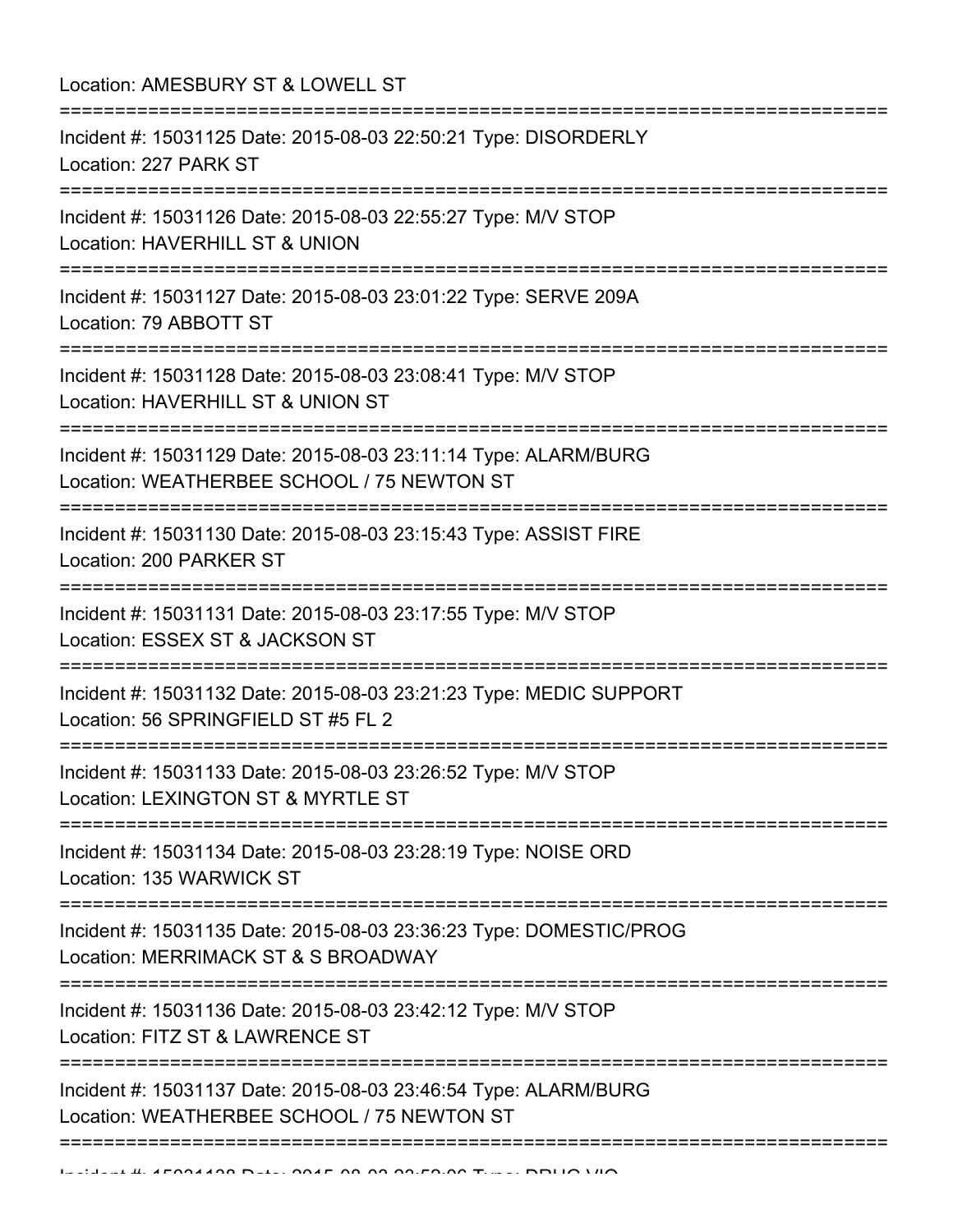| Location: AMESBURY ST & LOWELL ST                                                                                             |
|-------------------------------------------------------------------------------------------------------------------------------|
| Incident #: 15031125 Date: 2015-08-03 22:50:21 Type: DISORDERLY<br>Location: 227 PARK ST                                      |
| Incident #: 15031126 Date: 2015-08-03 22:55:27 Type: M/V STOP<br>Location: HAVERHILL ST & UNION                               |
| Incident #: 15031127 Date: 2015-08-03 23:01:22 Type: SERVE 209A<br>Location: 79 ABBOTT ST                                     |
| Incident #: 15031128 Date: 2015-08-03 23:08:41 Type: M/V STOP<br>Location: HAVERHILL ST & UNION ST                            |
| Incident #: 15031129 Date: 2015-08-03 23:11:14 Type: ALARM/BURG<br>Location: WEATHERBEE SCHOOL / 75 NEWTON ST                 |
| Incident #: 15031130 Date: 2015-08-03 23:15:43 Type: ASSIST FIRE<br>Location: 200 PARKER ST                                   |
| Incident #: 15031131 Date: 2015-08-03 23:17:55 Type: M/V STOP<br>Location: ESSEX ST & JACKSON ST                              |
| Incident #: 15031132 Date: 2015-08-03 23:21:23 Type: MEDIC SUPPORT<br>Location: 56 SPRINGFIELD ST #5 FL 2                     |
| Incident #: 15031133 Date: 2015-08-03 23:26:52 Type: M/V STOP<br>Location: LEXINGTON ST & MYRTLE ST                           |
| Incident #: 15031134 Date: 2015-08-03 23:28:19 Type: NOISE ORD<br>Location: 135 WARWICK ST                                    |
| Incident #: 15031135 Date: 2015-08-03 23:36:23 Type: DOMESTIC/PROG<br>Location: MERRIMACK ST & S BROADWAY                     |
| =========================<br>Incident #: 15031136 Date: 2015-08-03 23:42:12 Type: M/V STOP<br>Location: FITZ ST & LAWRENCE ST |
| Incident #: 15031137 Date: 2015-08-03 23:46:54 Type: ALARM/BURG<br>Location: WEATHERBEE SCHOOL / 75 NEWTON ST                 |
|                                                                                                                               |